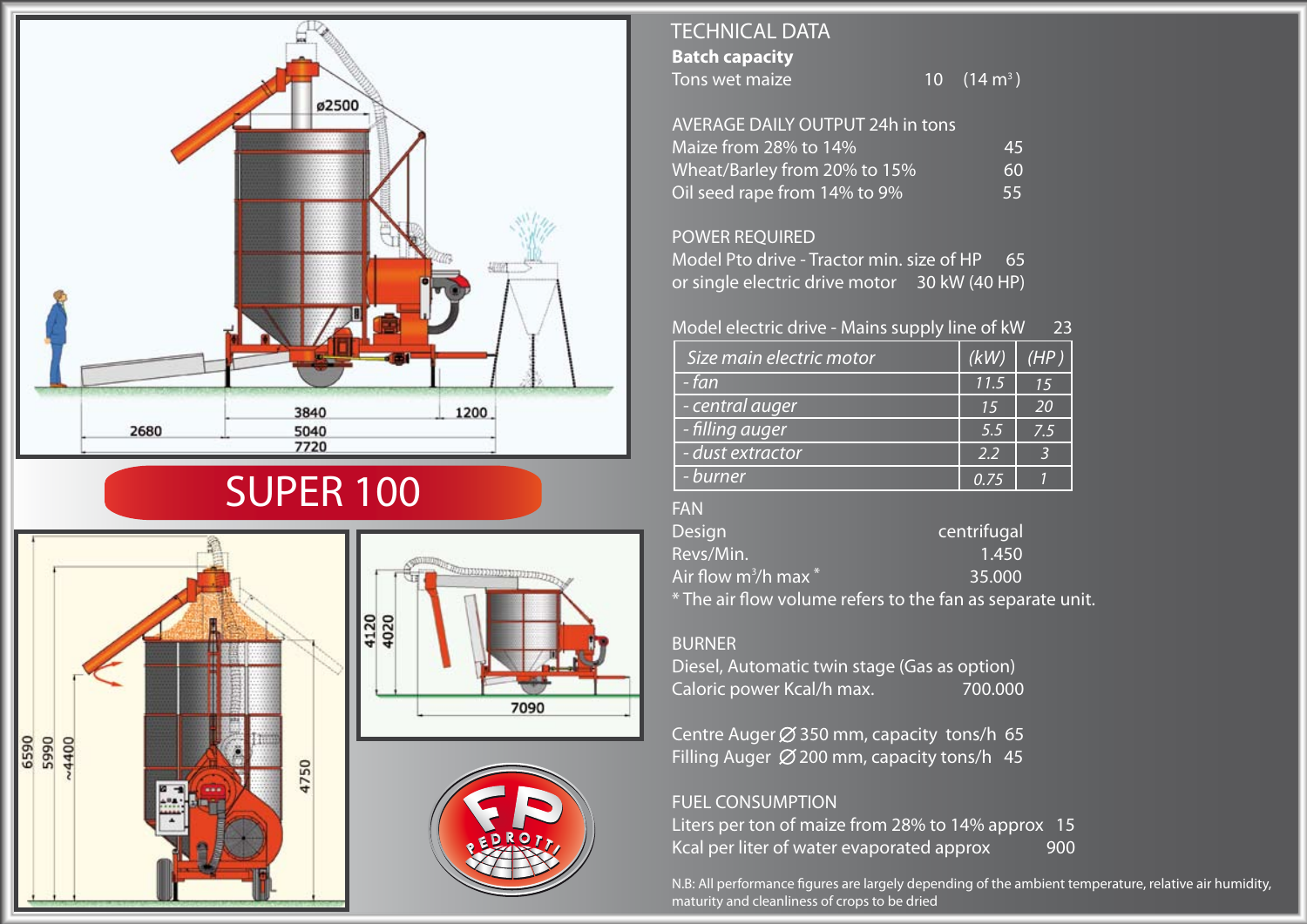

# SUPER 100



## **Batch capacity** Tons wet maize TECHNICAL DATA 10  $(14 \text{ m}^3)$

## AVERAGE DAILY OUTPUT 24h in tons

| Maize from 28% to 14%        | 45        |
|------------------------------|-----------|
| Wheat/Barley from 20% to 15% | <b>60</b> |
| Oil seed rape from 14% to 9% | 55        |

## POWER REQUIRED

Model Pto drive - Tractor min. size of HP 65 or single electric drive motor 30 kW (40 HP)

# Model electric drive - Mains supply line of kW 23

| Size main electric motor | (kW) | (HP) |
|--------------------------|------|------|
| - fan                    | 11.5 | 15   |
| - central auger          | 15   | 20   |
| - filling auger          | 5.5  | 7.5  |
| - dust extractor         | 2.2  |      |
| - burner                 | O 75 |      |

### FAN

| Design                     | centrifugal                                               |
|----------------------------|-----------------------------------------------------------|
| Revs/Min.                  | 1.450                                                     |
| Air flow $m^3$ /h max $^*$ | 35.000                                                    |
|                            | * The air flow volume refers to the fan as separate unit. |

#### BURNER

Diesel, Automatic twin stage (Gas as option) Caloric power Kcal/h max. 700.000

Centre Auger  $\varnothing$  350 mm, capacity tons/h 65 Filling Auger  $\emptyset$  200 mm, capacity tons/h 45

## FUEL CONSUMPTION

Liters per ton of maize from 28% to 14% approx 15 Kcal per liter of water evaporated approx 900

N.B: All performance figures are largely depending of the ambient temperature, relative air humidity, maturity and cleanliness of crops to be dried